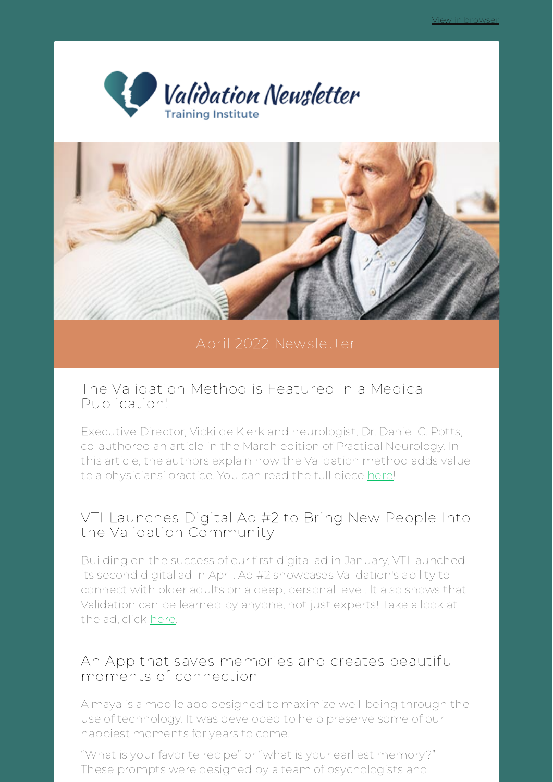



### The Validation Method is Featured in a Medical Publication!

Executive Director, Vicki de Klerk and neurologist, Dr. Daniel C. Potts, co-authored an article in the March edition of Practical Neurology. In this article, the authors explain how the Validation method adds value to a physicians' practice. You can read the full piece [here!](https://practicalneurology.com/articles/2022-mar-apr/dementia-insights-the-validation-method-for-dementia-care?utm_source=newsletter&utm_medium=email&utm_campaign=april_newsletter_vtis_spring_update&utm_term=2022-04-22)

## VTI Launches Digital Ad #2 to Bring New People Into the Validation Community

Building on the success of our first digital ad in January, VTI launched its second digital ad in April. Ad #2 showcases Validation's ability to connect with older adults on a deep, personal level. It also shows that Validation can be learned by anyone, not just experts! Take a look at the ad, click [here.](https://drive.google.com/file/d/1o08yzO_0pVoyVy4sdjAVuT-l4ndfimz4/view?usp=sharing&utm_source=newsletter&utm_medium=email&utm_campaign=april_newsletter_vtis_spring_update&utm_term=2022-04-22)

### An App that saves memories and creates beautiful moments of connection

Almaya is a mobile app designed to maximize well-being through the use of technology. It was developed to help preserve some of our happiest moments for years to come.

"What is your favorite recipe" or "what is your earliest memory?" These prompts were designed by a team of psychologists and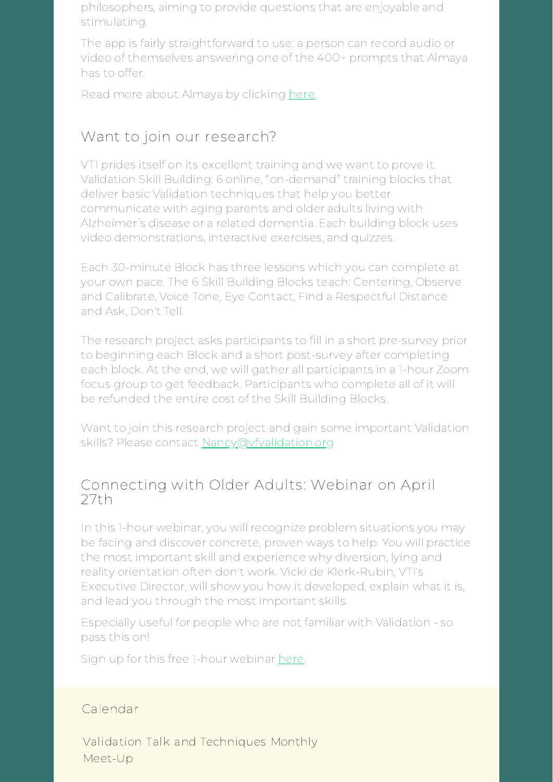philosophers, aiming to provide questions that are enjoyable and stimulating.

The app is fairly straightforward to use: a person can record audio or video of themselves answering one of the 400+ prompts that Almaya has to offer.

Read more about Almaya by clicking [here.](https://vfvalidation.org/blog/2022/04/20/how-do-we-keep-the-happy-moments-an-app-for-caregivers-and-their-loved-ones/?utm_source=newsletter&utm_medium=email&utm_campaign=april_newsletter_vtis_spring_update&utm_term=2022-04-22)

# Want to join our research?

VTI prides itself on its excellent training and we want to prove it. Validation Skill Building: 6 online, "on-demand" training blocks that deliver basic Validation techniques that help you better communicate with aging parents and older adults living with Alzheimer's disease or a related dementia. Each building block uses video demonstrations, interactive exercises, and quizzes.

Each 30-minute Block has three lessons which you can complete at your own pace. The 6 Skill Building Blocks teach: Centering, Observe and Calibrate, Voice Tone, Eye Contact, Find a Respectful Distance and Ask, Don't Tell.

The research project asks participants to fill in a short pre-survey prior to beginning each Block and a short post-survey after completing each block. At the end, we will gather all participants in a 1-hour Zoom focus group to get feedback. Participants who complete all of it will be refunded the entire cost of the Skill Building Blocks.

Want to join this research project and gain some important Validation skills? Please contact [Nancy@vfvalidation.org](mailto:Nancy@vfvalidation.org)

## Connecting with Older Adults: Webinar on April  $27th$

In this 1-hour webinar, you will recognize problem situations you may be facing and discover concrete, proven ways to help. You will practice the most important skill and experience why diversion, lying and reality orientation often don't work. Vicki de Klerk-Rubin, VTI's Executive Director, will show you how it developed, explain what it is, and lead you through the most important skills.

Especially useful for people who are not familiar with Validation - so pass this on!

Sign up for this free 1-hour webinar [here.](https://us02web.zoom.us/webinar/register/WN_SBIRIRDMQGSLqUgn970buQ?utm_source=newsletter&utm_medium=email&utm_campaign=april_newsletter_vtis_spring_update&utm_term=2022-04-22)

#### Calendar

Validation Talk and Techniques Monthly Meet-Up